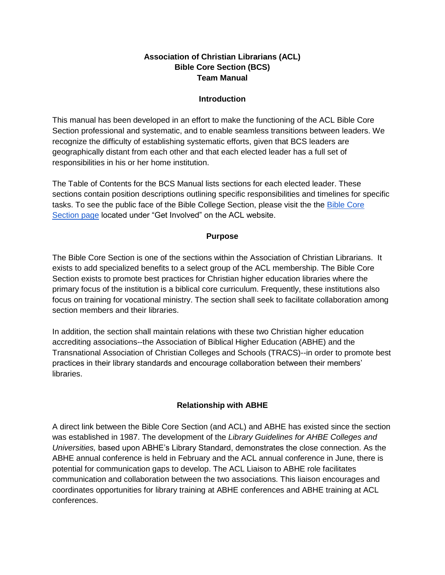### **Association of Christian Librarians (ACL) Bible Core Section (BCS) Team Manual**

### **Introduction**

This manual has been developed in an effort to make the functioning of the ACL Bible Core Section professional and systematic, and to enable seamless transitions between leaders. We recognize the difficulty of establishing systematic efforts, given that BCS leaders are geographically distant from each other and that each elected leader has a full set of responsibilities in his or her home institution.

The Table of Contents for the BCS Manual lists sections for each elected leader. These sections contain position descriptions outlining specific responsibilities and timelines for specific tasks. To see the public face of the Bible College Section, please visit the the [Bible Core](http://www.acl.org/index.cfm/get-involved/sections/bible-college-section/) [Section page](http://www.acl.org/index.cfm/get-involved/sections/bible-college-section/) located under "Get Involved" on the ACL website.

### **Purpose**

The Bible Core Section is one of the sections within the Association of Christian Librarians. It exists to add specialized benefits to a select group of the ACL membership. The Bible Core Section exists to promote best practices for Christian higher education libraries where the primary focus of the institution is a biblical core curriculum. Frequently, these institutions also focus on training for vocational ministry. The section shall seek to facilitate collaboration among section members and their libraries.

In addition, the section shall maintain relations with these two Christian higher education accrediting associations--the Association of Biblical Higher Education (ABHE) and the Transnational Association of Christian Colleges and Schools (TRACS)--in order to promote best practices in their library standards and encourage collaboration between their members' libraries.

# **Relationship with ABHE**

A direct link between the Bible Core Section (and ACL) and ABHE has existed since the section was established in 1987. The development of the *Library Guidelines for AHBE Colleges and Universities,* based upon ABHE's Library Standard, demonstrates the close connection. As the ABHE annual conference is held in February and the ACL annual conference in June, there is potential for communication gaps to develop. The ACL Liaison to ABHE role facilitates communication and collaboration between the two associations. This liaison encourages and coordinates opportunities for library training at ABHE conferences and ABHE training at ACL conferences.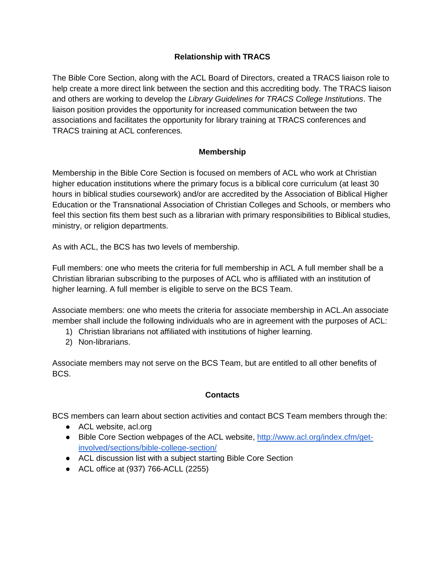# **Relationship with TRACS**

The Bible Core Section, along with the ACL Board of Directors, created a TRACS liaison role to help create a more direct link between the section and this accrediting body. The TRACS liaison and others are working to develop the *Library Guidelines for TRACS College Institutions*. The liaison position provides the opportunity for increased communication between the two associations and facilitates the opportunity for library training at TRACS conferences and TRACS training at ACL conferences.

# **Membership**

Membership in the Bible Core Section is focused on members of ACL who work at Christian higher education institutions where the primary focus is a biblical core curriculum (at least 30 hours in biblical studies coursework) and/or are accredited by the Association of Biblical Higher Education or the Transnational Association of Christian Colleges and Schools, or members who feel this section fits them best such as a librarian with primary responsibilities to Biblical studies, ministry, or religion departments.

As with ACL, the BCS has two levels of membership.

Full members: one who meets the criteria for full membership in ACL A full member shall be a Christian librarian subscribing to the purposes of ACL who is affiliated with an institution of higher learning. A full member is eligible to serve on the BCS Team.

Associate members: one who meets the criteria for associate membership in ACL.An associate member shall include the following individuals who are in agreement with the purposes of ACL:

- 1) Christian librarians not affiliated with institutions of higher learning.
- 2) Non-librarians.

Associate members may not serve on the BCS Team, but are entitled to all other benefits of BCS.

# **Contacts**

BCS members can learn about section activities and contact BCS Team members through the:

- ACL website, acl.org
- Bible Core Section webpages of the ACL website, [http://www.acl.org/index.cfm/get](http://www.acl.org/index.cfm/get-involved/sections/bible-college-section/)[involved/sections/bible-college-section/](http://www.acl.org/index.cfm/get-involved/sections/bible-college-section/)
- ACL discussion list with a subject starting Bible Core Section
- ACL office at (937) 766-ACLL (2255)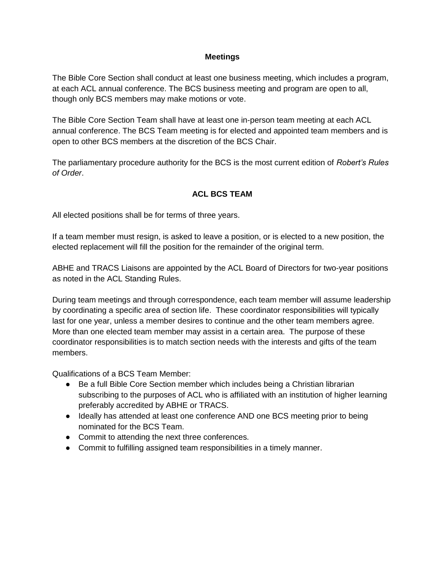### **Meetings**

The Bible Core Section shall conduct at least one business meeting, which includes a program, at each ACL annual conference. The BCS business meeting and program are open to all, though only BCS members may make motions or vote.

The Bible Core Section Team shall have at least one in-person team meeting at each ACL annual conference. The BCS Team meeting is for elected and appointed team members and is open to other BCS members at the discretion of the BCS Chair.

The parliamentary procedure authority for the BCS is the most current edition of *Robert's Rules of Order*.

# **ACL BCS TEAM**

All elected positions shall be for terms of three years.

If a team member must resign, is asked to leave a position, or is elected to a new position, the elected replacement will fill the position for the remainder of the original term.

ABHE and TRACS Liaisons are appointed by the ACL Board of Directors for two-year positions as noted in the ACL Standing Rules.

During team meetings and through correspondence, each team member will assume leadership by coordinating a specific area of section life. These coordinator responsibilities will typically last for one year, unless a member desires to continue and the other team members agree. More than one elected team member may assist in a certain area. The purpose of these coordinator responsibilities is to match section needs with the interests and gifts of the team members.

Qualifications of a BCS Team Member:

- Be a full Bible Core Section member which includes being a Christian librarian subscribing to the purposes of ACL who is affiliated with an institution of higher learning preferably accredited by ABHE or TRACS.
- Ideally has attended at least one conference AND one BCS meeting prior to being nominated for the BCS Team.
- Commit to attending the next three conferences.
- Commit to fulfilling assigned team responsibilities in a timely manner.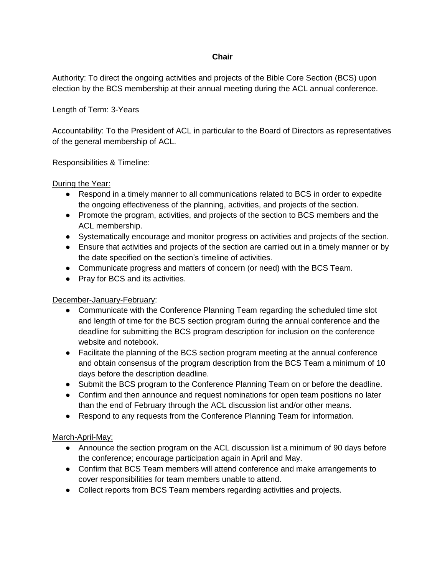### **Chair**

Authority: To direct the ongoing activities and projects of the Bible Core Section (BCS) upon election by the BCS membership at their annual meeting during the ACL annual conference.

Length of Term: 3-Years

Accountability: To the President of ACL in particular to the Board of Directors as representatives of the general membership of ACL.

Responsibilities & Timeline:

#### During the Year:

- Respond in a timely manner to all communications related to BCS in order to expedite the ongoing effectiveness of the planning, activities, and projects of the section.
- Promote the program, activities, and projects of the section to BCS members and the ACL membership.
- Systematically encourage and monitor progress on activities and projects of the section.
- Ensure that activities and projects of the section are carried out in a timely manner or by the date specified on the section's timeline of activities.
- Communicate progress and matters of concern (or need) with the BCS Team.
- Pray for BCS and its activities.

#### December-January-February:

- Communicate with the Conference Planning Team regarding the scheduled time slot and length of time for the BCS section program during the annual conference and the deadline for submitting the BCS program description for inclusion on the conference website and notebook.
- Facilitate the planning of the BCS section program meeting at the annual conference and obtain consensus of the program description from the BCS Team a minimum of 10 days before the description deadline.
- Submit the BCS program to the Conference Planning Team on or before the deadline.
- Confirm and then announce and request nominations for open team positions no later than the end of February through the ACL discussion list and/or other means.
- Respond to any requests from the Conference Planning Team for information.

#### March-April-May:

- Announce the section program on the ACL discussion list a minimum of 90 days before the conference; encourage participation again in April and May.
- Confirm that BCS Team members will attend conference and make arrangements to cover responsibilities for team members unable to attend.
- Collect reports from BCS Team members regarding activities and projects.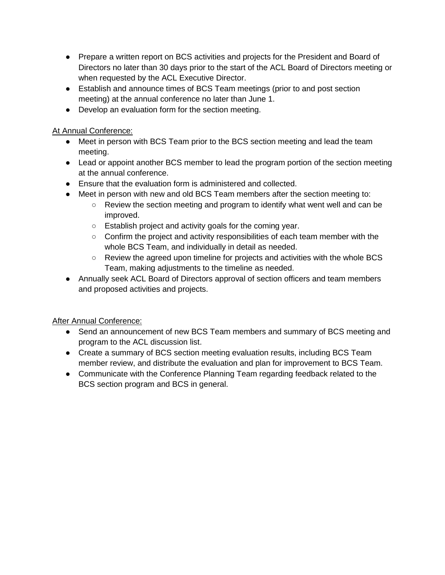- Prepare a written report on BCS activities and projects for the President and Board of Directors no later than 30 days prior to the start of the ACL Board of Directors meeting or when requested by the ACL Executive Director.
- Establish and announce times of BCS Team meetings (prior to and post section meeting) at the annual conference no later than June 1.
- Develop an evaluation form for the section meeting.

# At Annual Conference:

- Meet in person with BCS Team prior to the BCS section meeting and lead the team meeting.
- Lead or appoint another BCS member to lead the program portion of the section meeting at the annual conference.
- Ensure that the evaluation form is administered and collected.
- Meet in person with new and old BCS Team members after the section meeting to:
	- $\circ$  Review the section meeting and program to identify what went well and can be improved.
	- Establish project and activity goals for the coming year.
	- Confirm the project and activity responsibilities of each team member with the whole BCS Team, and individually in detail as needed.
	- Review the agreed upon timeline for projects and activities with the whole BCS Team, making adjustments to the timeline as needed.
- Annually seek ACL Board of Directors approval of section officers and team members and proposed activities and projects.

After Annual Conference:

- Send an announcement of new BCS Team members and summary of BCS meeting and program to the ACL discussion list.
- Create a summary of BCS section meeting evaluation results, including BCS Team member review, and distribute the evaluation and plan for improvement to BCS Team.
- Communicate with the Conference Planning Team regarding feedback related to the BCS section program and BCS in general.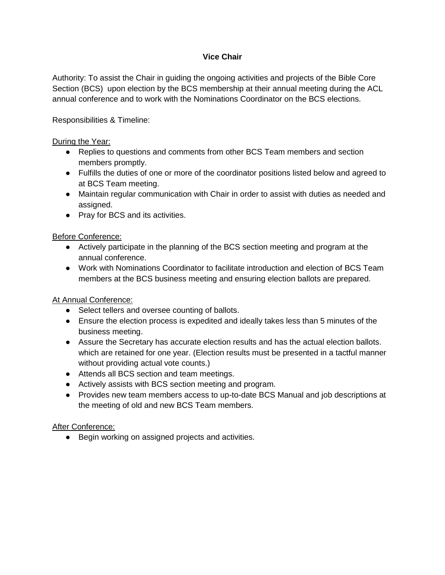# **Vice Chair**

Authority: To assist the Chair in guiding the ongoing activities and projects of the Bible Core Section (BCS) upon election by the BCS membership at their annual meeting during the ACL annual conference and to work with the Nominations Coordinator on the BCS elections.

Responsibilities & Timeline:

During the Year:

- Replies to questions and comments from other BCS Team members and section members promptly.
- Fulfills the duties of one or more of the coordinator positions listed below and agreed to at BCS Team meeting.
- Maintain regular communication with Chair in order to assist with duties as needed and assigned.
- Pray for BCS and its activities.

Before Conference:

- Actively participate in the planning of the BCS section meeting and program at the annual conference.
- Work with Nominations Coordinator to facilitate introduction and election of BCS Team members at the BCS business meeting and ensuring election ballots are prepared.

At Annual Conference:

- Select tellers and oversee counting of ballots.
- Ensure the election process is expedited and ideally takes less than 5 minutes of the business meeting.
- Assure the Secretary has accurate election results and has the actual election ballots. which are retained for one year. (Election results must be presented in a tactful manner without providing actual vote counts.)
- Attends all BCS section and team meetings.
- Actively assists with BCS section meeting and program.
- Provides new team members access to up-to-date BCS Manual and job descriptions at the meeting of old and new BCS Team members.

After Conference:

● Begin working on assigned projects and activities.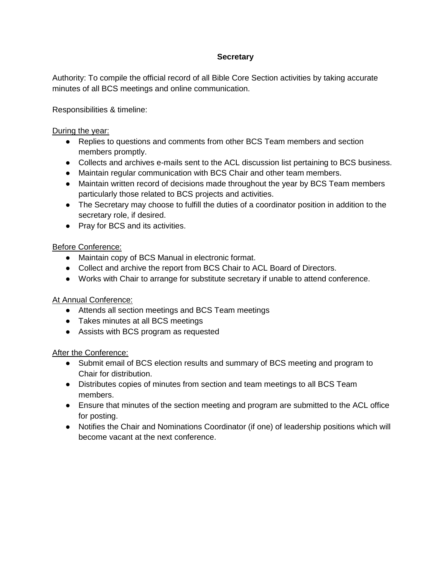### **Secretary**

Authority: To compile the official record of all Bible Core Section activities by taking accurate minutes of all BCS meetings and online communication.

Responsibilities & timeline:

### During the year:

- Replies to questions and comments from other BCS Team members and section members promptly.
- Collects and archives e-mails sent to the ACL discussion list pertaining to BCS business.
- Maintain regular communication with BCS Chair and other team members.
- Maintain written record of decisions made throughout the year by BCS Team members particularly those related to BCS projects and activities.
- The Secretary may choose to fulfill the duties of a coordinator position in addition to the secretary role, if desired.
- Pray for BCS and its activities.

### Before Conference:

- Maintain copy of BCS Manual in electronic format.
- Collect and archive the report from BCS Chair to ACL Board of Directors.
- Works with Chair to arrange for substitute secretary if unable to attend conference.

# At Annual Conference:

- Attends all section meetings and BCS Team meetings
- Takes minutes at all BCS meetings
- Assists with BCS program as requested

#### After the Conference:

- Submit email of BCS election results and summary of BCS meeting and program to Chair for distribution.
- Distributes copies of minutes from section and team meetings to all BCS Team members.
- Ensure that minutes of the section meeting and program are submitted to the ACL office for posting.
- Notifies the Chair and Nominations Coordinator (if one) of leadership positions which will become vacant at the next conference.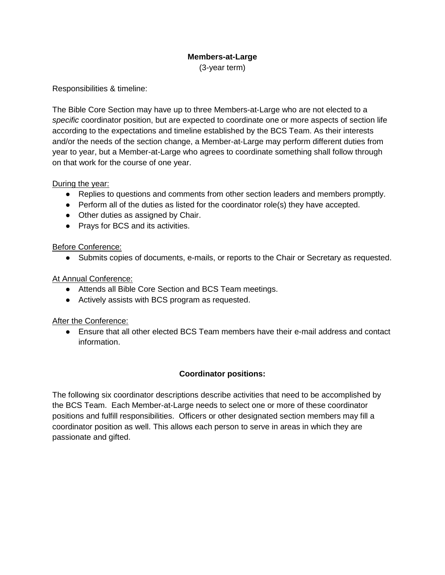### **Members-at-Large**

(3-year term)

Responsibilities & timeline:

The Bible Core Section may have up to three Members-at-Large who are not elected to a *specific* coordinator position, but are expected to coordinate one or more aspects of section life according to the expectations and timeline established by the BCS Team. As their interests and/or the needs of the section change, a Member-at-Large may perform different duties from year to year, but a Member-at-Large who agrees to coordinate something shall follow through on that work for the course of one year.

#### During the year:

- Replies to questions and comments from other section leaders and members promptly.
- Perform all of the duties as listed for the coordinator role(s) they have accepted.
- Other duties as assigned by Chair.
- Prays for BCS and its activities.

#### Before Conference:

● Submits copies of documents, e-mails, or reports to the Chair or Secretary as requested.

#### At Annual Conference:

- Attends all Bible Core Section and BCS Team meetings.
- Actively assists with BCS program as requested.

#### After the Conference:

● Ensure that all other elected BCS Team members have their e-mail address and contact information.

#### **Coordinator positions:**

The following six coordinator descriptions describe activities that need to be accomplished by the BCS Team. Each Member-at-Large needs to select one or more of these coordinator positions and fulfill responsibilities. Officers or other designated section members may fill a coordinator position as well. This allows each person to serve in areas in which they are passionate and gifted.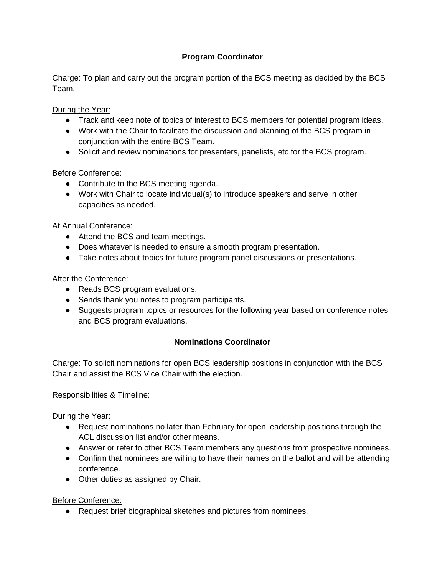# **Program Coordinator**

Charge: To plan and carry out the program portion of the BCS meeting as decided by the BCS Team.

### During the Year:

- Track and keep note of topics of interest to BCS members for potential program ideas.
- Work with the Chair to facilitate the discussion and planning of the BCS program in conjunction with the entire BCS Team.
- Solicit and review nominations for presenters, panelists, etc for the BCS program.

### Before Conference:

- Contribute to the BCS meeting agenda.
- Work with Chair to locate individual(s) to introduce speakers and serve in other capacities as needed.

### At Annual Conference:

- Attend the BCS and team meetings.
- Does whatever is needed to ensure a smooth program presentation.
- Take notes about topics for future program panel discussions or presentations.

### After the Conference:

- Reads BCS program evaluations.
- Sends thank you notes to program participants.
- Suggests program topics or resources for the following year based on conference notes and BCS program evaluations.

# **Nominations Coordinator**

Charge: To solicit nominations for open BCS leadership positions in conjunction with the BCS Chair and assist the BCS Vice Chair with the election.

Responsibilities & Timeline:

During the Year:

- Request nominations no later than February for open leadership positions through the ACL discussion list and/or other means.
- Answer or refer to other BCS Team members any questions from prospective nominees.
- Confirm that nominees are willing to have their names on the ballot and will be attending conference.
- Other duties as assigned by Chair.

#### Before Conference:

● Request brief biographical sketches and pictures from nominees.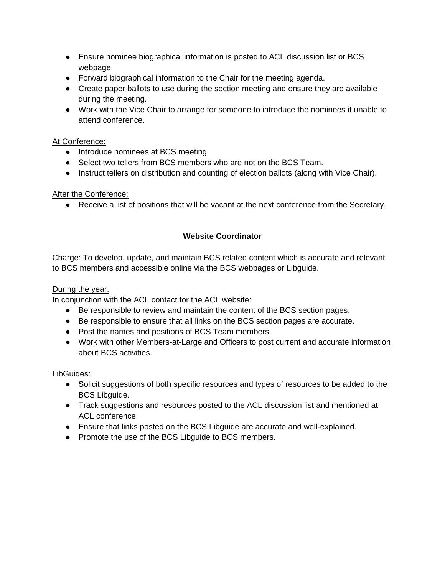- Ensure nominee biographical information is posted to ACL discussion list or BCS webpage.
- Forward biographical information to the Chair for the meeting agenda.
- Create paper ballots to use during the section meeting and ensure they are available during the meeting.
- Work with the Vice Chair to arrange for someone to introduce the nominees if unable to attend conference.

# At Conference:

- Introduce nominees at BCS meeting.
- Select two tellers from BCS members who are not on the BCS Team.
- Instruct tellers on distribution and counting of election ballots (along with Vice Chair).

#### After the Conference:

● Receive a list of positions that will be vacant at the next conference from the Secretary.

# **Website Coordinator**

Charge: To develop, update, and maintain BCS related content which is accurate and relevant to BCS members and accessible online via the BCS webpages or Libguide.

### During the year:

In conjunction with the ACL contact for the ACL website:

- Be responsible to review and maintain the content of the BCS section pages.
- Be responsible to ensure that all links on the BCS section pages are accurate.
- Post the names and positions of BCS Team members.
- Work with other Members-at-Large and Officers to post current and accurate information about BCS activities.

LibGuides:

- Solicit suggestions of both specific resources and types of resources to be added to the BCS Libguide.
- Track suggestions and resources posted to the ACL discussion list and mentioned at ACL conference.
- Ensure that links posted on the BCS Libguide are accurate and well-explained.
- Promote the use of the BCS Libguide to BCS members.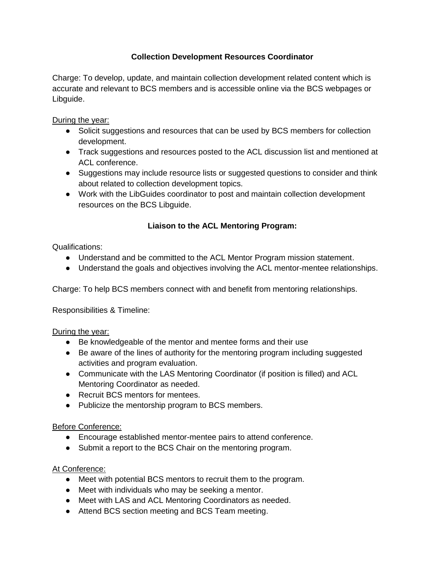# **Collection Development Resources Coordinator**

Charge: To develop, update, and maintain collection development related content which is accurate and relevant to BCS members and is accessible online via the BCS webpages or Libguide.

During the year:

- Solicit suggestions and resources that can be used by BCS members for collection development.
- Track suggestions and resources posted to the ACL discussion list and mentioned at ACL conference.
- Suggestions may include resource lists or suggested questions to consider and think about related to collection development topics.
- Work with the LibGuides coordinator to post and maintain collection development resources on the BCS Libguide.

# **Liaison to the ACL Mentoring Program:**

Qualifications:

- Understand and be committed to the ACL Mentor Program mission statement.
- Understand the goals and objectives involving the ACL mentor-mentee relationships.

Charge: To help BCS members connect with and benefit from mentoring relationships.

Responsibilities & Timeline:

#### During the year:

- Be knowledgeable of the mentor and mentee forms and their use
- Be aware of the lines of authority for the mentoring program including suggested activities and program evaluation.
- Communicate with the LAS Mentoring Coordinator (if position is filled) and ACL Mentoring Coordinator as needed.
- Recruit BCS mentors for mentees.
- Publicize the mentorship program to BCS members.

# Before Conference:

- Encourage established mentor-mentee pairs to attend conference.
- Submit a report to the BCS Chair on the mentoring program.

# At Conference:

- Meet with potential BCS mentors to recruit them to the program.
- Meet with individuals who may be seeking a mentor.
- Meet with LAS and ACL Mentoring Coordinators as needed.
- Attend BCS section meeting and BCS Team meeting.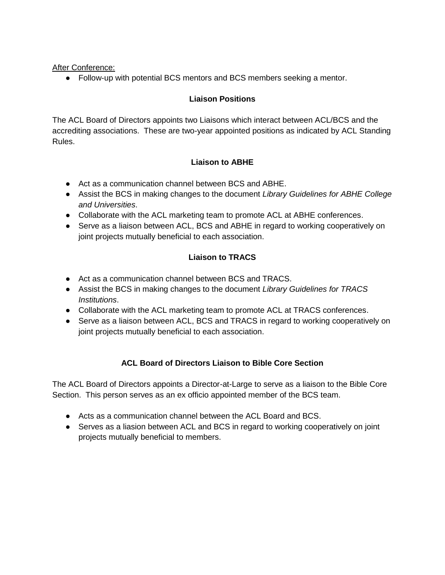**After Conference:** 

● Follow-up with potential BCS mentors and BCS members seeking a mentor.

### **Liaison Positions**

The ACL Board of Directors appoints two Liaisons which interact between ACL/BCS and the accrediting associations. These are two-year appointed positions as indicated by ACL Standing Rules.

# **Liaison to ABHE**

- Act as a communication channel between BCS and ABHE.
- Assist the BCS in making changes to the document *Library Guidelines for ABHE College and Universities*.
- Collaborate with the ACL marketing team to promote ACL at ABHE conferences.
- Serve as a liaison between ACL, BCS and ABHE in regard to working cooperatively on joint projects mutually beneficial to each association.

# **Liaison to TRACS**

- Act as a communication channel between BCS and TRACS.
- Assist the BCS in making changes to the document *Library Guidelines for TRACS Institutions*.
- Collaborate with the ACL marketing team to promote ACL at TRACS conferences.
- Serve as a liaison between ACL, BCS and TRACS in regard to working cooperatively on joint projects mutually beneficial to each association.

# **ACL Board of Directors Liaison to Bible Core Section**

The ACL Board of Directors appoints a Director-at-Large to serve as a liaison to the Bible Core Section. This person serves as an ex officio appointed member of the BCS team.

- Acts as a communication channel between the ACL Board and BCS.
- Serves as a liasion between ACL and BCS in regard to working cooperatively on joint projects mutually beneficial to members.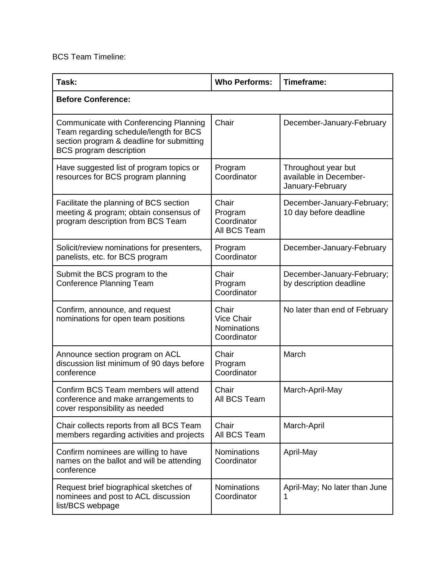BCS Team Timeline:

| Task:                                                                                                                                                           | <b>Who Performs:</b>                                     | Timeframe:                                                        |  |  |
|-----------------------------------------------------------------------------------------------------------------------------------------------------------------|----------------------------------------------------------|-------------------------------------------------------------------|--|--|
| <b>Before Conference:</b>                                                                                                                                       |                                                          |                                                                   |  |  |
| Communicate with Conferencing Planning<br>Team regarding schedule/length for BCS<br>section program & deadline for submitting<br><b>BCS</b> program description | Chair                                                    | December-January-February                                         |  |  |
| Have suggested list of program topics or<br>resources for BCS program planning                                                                                  | Program<br>Coordinator                                   | Throughout year but<br>available in December-<br>January-February |  |  |
| Facilitate the planning of BCS section<br>meeting & program; obtain consensus of<br>program description from BCS Team                                           | Chair<br>Program<br>Coordinator<br>All BCS Team          | December-January-February;<br>10 day before deadline              |  |  |
| Solicit/review nominations for presenters,<br>panelists, etc. for BCS program                                                                                   | Program<br>Coordinator                                   | December-January-February                                         |  |  |
| Submit the BCS program to the<br><b>Conference Planning Team</b>                                                                                                | Chair<br>Program<br>Coordinator                          | December-January-February;<br>by description deadline             |  |  |
| Confirm, announce, and request<br>nominations for open team positions                                                                                           | Chair<br>Vice Chair<br><b>Nominations</b><br>Coordinator | No later than end of February                                     |  |  |
| Announce section program on ACL<br>discussion list minimum of 90 days before<br>conference                                                                      | Chair<br>Program<br>Coordinator                          | March                                                             |  |  |
| Confirm BCS Team members will attend<br>conference and make arrangements to<br>cover responsibility as needed                                                   | Chair<br>All BCS Team                                    | March-April-May                                                   |  |  |
| Chair collects reports from all BCS Team<br>members regarding activities and projects                                                                           | Chair<br>All BCS Team                                    | March-April                                                       |  |  |
| Confirm nominees are willing to have<br>names on the ballot and will be attending<br>conference                                                                 | <b>Nominations</b><br>Coordinator                        | April-May                                                         |  |  |
| Request brief biographical sketches of<br>nominees and post to ACL discussion<br>list/BCS webpage                                                               | <b>Nominations</b><br>Coordinator                        | April-May; No later than June                                     |  |  |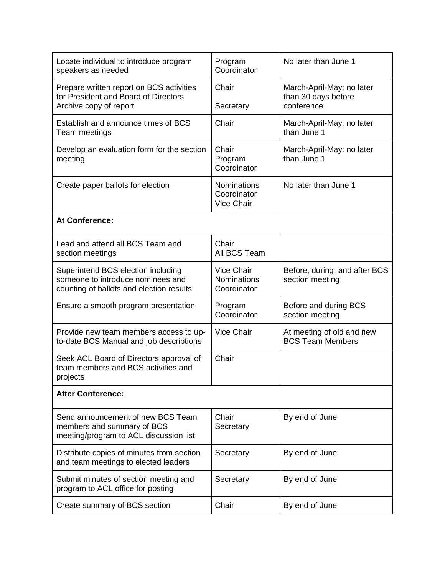| Locate individual to introduce program<br>speakers as needed                                                        | Program<br>Coordinator                                 | No later than June 1                                           |  |  |
|---------------------------------------------------------------------------------------------------------------------|--------------------------------------------------------|----------------------------------------------------------------|--|--|
| Prepare written report on BCS activities<br>for President and Board of Directors<br>Archive copy of report          | Chair<br>Secretary                                     | March-April-May; no later<br>than 30 days before<br>conference |  |  |
| Establish and announce times of BCS<br>Team meetings                                                                | Chair                                                  | March-April-May; no later<br>than June 1                       |  |  |
| Develop an evaluation form for the section<br>meeting                                                               | Chair<br>Program<br>Coordinator                        | March-April-May: no later<br>than June 1                       |  |  |
| Create paper ballots for election                                                                                   | <b>Nominations</b><br>Coordinator<br><b>Vice Chair</b> | No later than June 1                                           |  |  |
| At Conference:                                                                                                      |                                                        |                                                                |  |  |
| Lead and attend all BCS Team and<br>section meetings                                                                | Chair<br>All BCS Team                                  |                                                                |  |  |
| Superintend BCS election including<br>someone to introduce nominees and<br>counting of ballots and election results | <b>Vice Chair</b><br><b>Nominations</b><br>Coordinator | Before, during, and after BCS<br>section meeting               |  |  |
| Ensure a smooth program presentation                                                                                | Program<br>Coordinator                                 | Before and during BCS<br>section meeting                       |  |  |
| Provide new team members access to up-<br>to-date BCS Manual and job descriptions                                   | <b>Vice Chair</b>                                      | At meeting of old and new<br><b>BCS Team Members</b>           |  |  |
| Seek ACL Board of Directors approval of<br>team members and BCS activities and<br>projects                          | Chair                                                  |                                                                |  |  |
| <b>After Conference:</b>                                                                                            |                                                        |                                                                |  |  |
| Send announcement of new BCS Team<br>members and summary of BCS<br>meeting/program to ACL discussion list           | Chair<br>Secretary                                     | By end of June                                                 |  |  |
| Distribute copies of minutes from section<br>and team meetings to elected leaders                                   | Secretary                                              | By end of June                                                 |  |  |
| Submit minutes of section meeting and<br>program to ACL office for posting                                          | Secretary                                              | By end of June                                                 |  |  |
| Create summary of BCS section                                                                                       | Chair                                                  | By end of June                                                 |  |  |